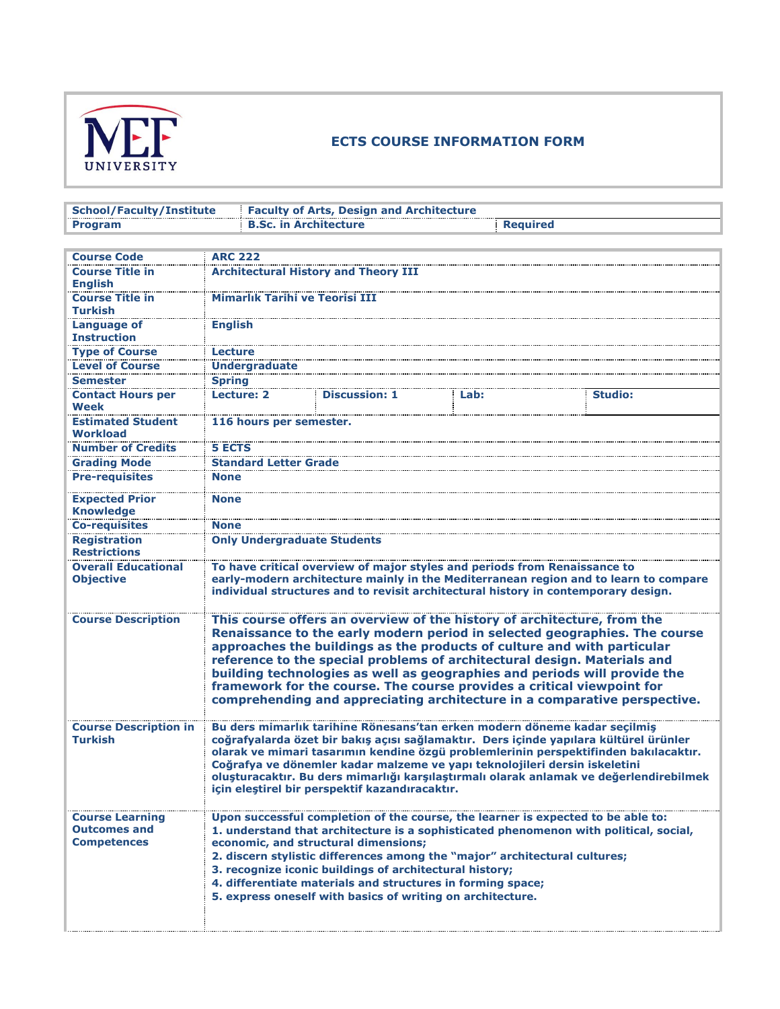

## **ECTS COURSE INFORMATION FORM**

| <b>School/Faculty/Institute</b><br><b>Faculty of Arts, Design and Architecture</b> |                                                                                                                                                                            |                                                                            |      |                                                                                       |  |
|------------------------------------------------------------------------------------|----------------------------------------------------------------------------------------------------------------------------------------------------------------------------|----------------------------------------------------------------------------|------|---------------------------------------------------------------------------------------|--|
| <b>Program</b>                                                                     | <b>B.Sc. in Architecture</b><br><b>Required</b>                                                                                                                            |                                                                            |      |                                                                                       |  |
|                                                                                    |                                                                                                                                                                            |                                                                            |      |                                                                                       |  |
| <b>Course Code</b><br><b>ARC 222</b>                                               |                                                                                                                                                                            |                                                                            |      |                                                                                       |  |
| <b>Course Title in</b>                                                             | <b>Architectural History and Theory III</b>                                                                                                                                |                                                                            |      |                                                                                       |  |
| <b>English</b>                                                                     |                                                                                                                                                                            |                                                                            |      |                                                                                       |  |
| <b>Course Title in</b>                                                             | Mimarlık Tarihi ve Teorisi III                                                                                                                                             |                                                                            |      |                                                                                       |  |
| <b>Turkish</b>                                                                     |                                                                                                                                                                            |                                                                            |      |                                                                                       |  |
| <b>Language of</b>                                                                 | <b>English</b>                                                                                                                                                             |                                                                            |      |                                                                                       |  |
| <b>Instruction</b>                                                                 |                                                                                                                                                                            |                                                                            |      |                                                                                       |  |
| <b>Type of Course</b>                                                              | Lecture                                                                                                                                                                    |                                                                            |      |                                                                                       |  |
| <b>Level of Course</b>                                                             | <b>Undergraduate</b>                                                                                                                                                       |                                                                            |      |                                                                                       |  |
| <b>Semester</b>                                                                    | <b>Spring</b>                                                                                                                                                              |                                                                            |      |                                                                                       |  |
| <b>Contact Hours per</b><br>Week                                                   | Lecture: 2                                                                                                                                                                 | <b>Discussion: 1</b>                                                       | Lab: | <b>Studio:</b>                                                                        |  |
| <b>Estimated Student</b>                                                           | 116 hours per semester.                                                                                                                                                    |                                                                            |      |                                                                                       |  |
| <b>Workload</b>                                                                    |                                                                                                                                                                            |                                                                            |      |                                                                                       |  |
| <b>Number of Credits</b>                                                           | <b>5 ECTS</b>                                                                                                                                                              |                                                                            |      |                                                                                       |  |
| <b>Grading Mode</b>                                                                | <b>Standard Letter Grade</b>                                                                                                                                               |                                                                            |      |                                                                                       |  |
| <b>Pre-requisites</b>                                                              | <b>None</b>                                                                                                                                                                |                                                                            |      |                                                                                       |  |
| <b>Expected Prior</b>                                                              | <b>None</b>                                                                                                                                                                |                                                                            |      |                                                                                       |  |
| <b>Knowledge</b>                                                                   |                                                                                                                                                                            |                                                                            |      |                                                                                       |  |
| <b>Co-requisites</b>                                                               | <b>None</b>                                                                                                                                                                |                                                                            |      |                                                                                       |  |
| <b>Registration</b><br><b>Restrictions</b>                                         | <b>Only Undergraduate Students</b>                                                                                                                                         |                                                                            |      |                                                                                       |  |
| <b>Overall Educational</b>                                                         |                                                                                                                                                                            | To have critical overview of major styles and periods from Renaissance to  |      |                                                                                       |  |
| <b>Objective</b>                                                                   | early-modern architecture mainly in the Mediterranean region and to learn to compare<br>individual structures and to revisit architectural history in contemporary design. |                                                                            |      |                                                                                       |  |
| <b>Course Description</b>                                                          |                                                                                                                                                                            |                                                                            |      | This course offers an overview of the history of architecture, from the               |  |
|                                                                                    | Renaissance to the early modern period in selected geographies. The course                                                                                                 |                                                                            |      |                                                                                       |  |
|                                                                                    | approaches the buildings as the products of culture and with particular                                                                                                    |                                                                            |      |                                                                                       |  |
|                                                                                    | reference to the special problems of architectural design. Materials and                                                                                                   |                                                                            |      |                                                                                       |  |
|                                                                                    | building technologies as well as geographies and periods will provide the                                                                                                  |                                                                            |      |                                                                                       |  |
|                                                                                    | framework for the course. The course provides a critical viewpoint for<br>comprehending and appreciating architecture in a comparative perspective.                        |                                                                            |      |                                                                                       |  |
|                                                                                    |                                                                                                                                                                            |                                                                            |      |                                                                                       |  |
| <b>Course Description in</b>                                                       |                                                                                                                                                                            | Bu ders mimarlık tarihine Rönesans'tan erken modern döneme kadar secilmis  |      |                                                                                       |  |
| <b>Turkish</b>                                                                     |                                                                                                                                                                            |                                                                            |      | coğrafyalarda özet bir bakış açısı sağlamaktır. Ders içinde yapılara kültürel ürünler |  |
|                                                                                    |                                                                                                                                                                            |                                                                            |      | olarak ve mimari tasarımın kendine özgü problemlerinin perspektifinden bakılacaktır.  |  |
|                                                                                    |                                                                                                                                                                            | Coğrafya ve dönemler kadar malzeme ve yapı teknolojileri dersin iskeletini |      |                                                                                       |  |
|                                                                                    | oluşturacaktır. Bu ders mimarlığı karşılaştırmalı olarak anlamak ve değerlendirebilmek                                                                                     |                                                                            |      |                                                                                       |  |
|                                                                                    |                                                                                                                                                                            | için eleştirel bir perspektif kazandıracaktır.                             |      |                                                                                       |  |
|                                                                                    |                                                                                                                                                                            |                                                                            |      | Upon successful completion of the course, the learner is expected to be able to:      |  |
| <b>Course Learning</b><br><b>Outcomes and</b>                                      |                                                                                                                                                                            |                                                                            |      | 1. understand that architecture is a sophisticated phenomenon with political, social, |  |
| <b>Competences</b>                                                                 |                                                                                                                                                                            | economic, and structural dimensions;                                       |      |                                                                                       |  |
|                                                                                    |                                                                                                                                                                            | 2. discern stylistic differences among the "major" architectural cultures; |      |                                                                                       |  |
|                                                                                    |                                                                                                                                                                            | 3. recognize iconic buildings of architectural history;                    |      |                                                                                       |  |
|                                                                                    |                                                                                                                                                                            | 4. differentiate materials and structures in forming space;                |      |                                                                                       |  |
|                                                                                    | 5. express oneself with basics of writing on architecture.                                                                                                                 |                                                                            |      |                                                                                       |  |
|                                                                                    |                                                                                                                                                                            |                                                                            |      |                                                                                       |  |
|                                                                                    |                                                                                                                                                                            |                                                                            |      |                                                                                       |  |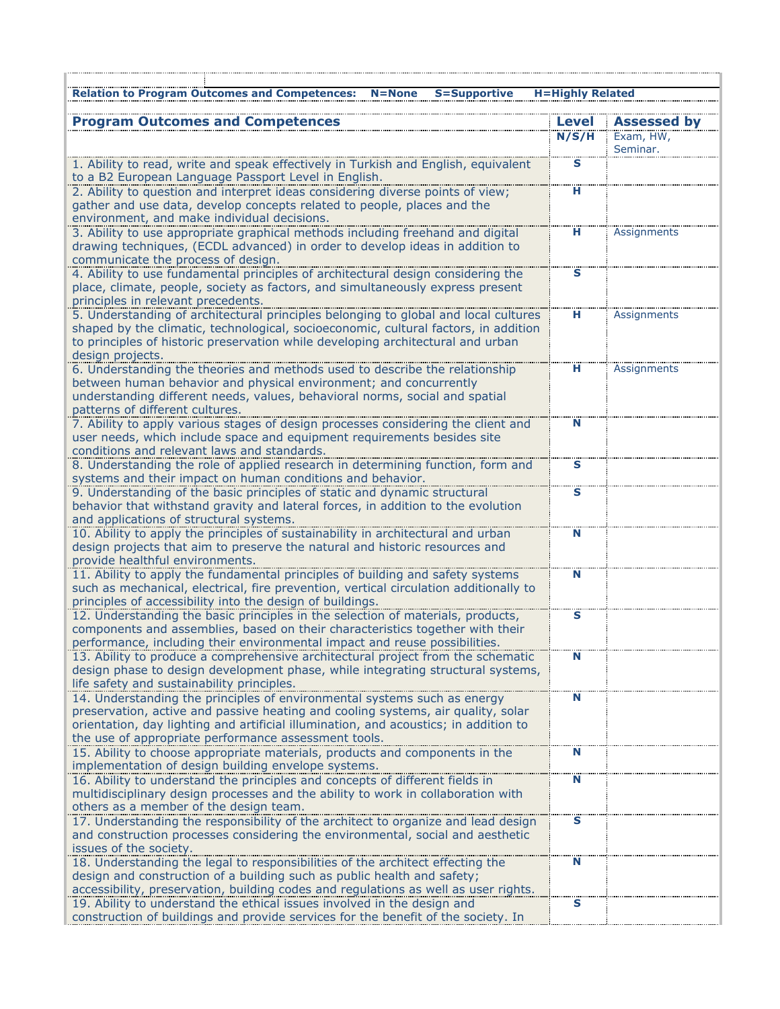| <b>H=Highly Related</b><br><b>Program Outcomes and Competences</b><br><b>Assessed by</b><br><b>Level</b><br>N/S/H<br>Exam, HW,<br>Seminar.<br>1. Ability to read, write and speak effectively in Turkish and English, equivalent<br>s<br>to a B2 European Language Passport Level in English.<br>2. Ability to question and interpret ideas considering diverse points of view;<br>н<br>gather and use data, develop concepts related to people, places and the<br>environment, and make individual decisions.<br>3. Ability to use appropriate graphical methods including freehand and digital<br>н<br>Assignments<br>drawing techniques, (ECDL advanced) in order to develop ideas in addition to<br>communicate the process of design.<br>4. Ability to use fundamental principles of architectural design considering the<br>s<br>place, climate, people, society as factors, and simultaneously express present<br>principles in relevant precedents.<br>5. Understanding of architectural principles belonging to global and local cultures<br>н<br>Assignments<br>shaped by the climatic, technological, socioeconomic, cultural factors, in addition<br>to principles of historic preservation while developing architectural and urban<br>design projects.<br>6. Understanding the theories and methods used to describe the relationship<br>н<br>Assignments<br>between human behavior and physical environment; and concurrently<br>understanding different needs, values, behavioral norms, social and spatial<br>patterns of different cultures.<br>7. Ability to apply various stages of design processes considering the client and<br>N<br>user needs, which include space and equipment requirements besides site<br>conditions and relevant laws and standards.<br>$\mathbf{s}$<br>8. Understanding the role of applied research in determining function, form and<br>systems and their impact on human conditions and behavior.<br>9. Understanding of the basic principles of static and dynamic structural<br>s<br>behavior that withstand gravity and lateral forces, in addition to the evolution<br>and applications of structural systems.<br>10. Ability to apply the principles of sustainability in architectural and urban<br>N<br>design projects that aim to preserve the natural and historic resources and<br>provide healthful environments.<br>11. Ability to apply the fundamental principles of building and safety systems<br>N<br>such as mechanical, electrical, fire prevention, vertical circulation additionally to<br>principles of accessibility into the design of buildings.<br>12. Understanding the basic principles in the selection of materials, products,<br>s<br>components and assemblies, based on their characteristics together with their<br>performance, including their environmental impact and reuse possibilities.<br>13. Ability to produce a comprehensive architectural project from the schematic<br>N<br>design phase to design development phase, while integrating structural systems,<br>life safety and sustainability principles.<br>Ñ<br>14. Understanding the principles of environmental systems such as energy<br>preservation, active and passive heating and cooling systems, air quality, solar<br>orientation, day lighting and artificial illumination, and acoustics; in addition to<br>the use of appropriate performance assessment tools.<br>15. Ability to choose appropriate materials, products and components in the<br>N<br>implementation of design building envelope systems.<br>16. Ability to understand the principles and concepts of different fields in<br>N<br>multidisciplinary design processes and the ability to work in collaboration with<br>others as a member of the design team.<br>17. Understanding the responsibility of the architect to organize and lead design<br>S<br>and construction processes considering the environmental, social and aesthetic<br>issues of the society.<br>18. Understanding the legal to responsibilities of the architect effecting the<br>N<br>design and construction of a building such as public health and safety;<br>accessibility, preservation, building codes and regulations as well as user rights.<br>19. Ability to understand the ethical issues involved in the design and<br>S | <b>Relation to Program Outcomes and Competences:</b><br>$N = None$<br><b>S=Supportive</b> |  |
|------------------------------------------------------------------------------------------------------------------------------------------------------------------------------------------------------------------------------------------------------------------------------------------------------------------------------------------------------------------------------------------------------------------------------------------------------------------------------------------------------------------------------------------------------------------------------------------------------------------------------------------------------------------------------------------------------------------------------------------------------------------------------------------------------------------------------------------------------------------------------------------------------------------------------------------------------------------------------------------------------------------------------------------------------------------------------------------------------------------------------------------------------------------------------------------------------------------------------------------------------------------------------------------------------------------------------------------------------------------------------------------------------------------------------------------------------------------------------------------------------------------------------------------------------------------------------------------------------------------------------------------------------------------------------------------------------------------------------------------------------------------------------------------------------------------------------------------------------------------------------------------------------------------------------------------------------------------------------------------------------------------------------------------------------------------------------------------------------------------------------------------------------------------------------------------------------------------------------------------------------------------------------------------------------------------------------------------------------------------------------------------------------------------------------------------------------------------------------------------------------------------------------------------------------------------------------------------------------------------------------------------------------------------------------------------------------------------------------------------------------------------------------------------------------------------------------------------------------------------------------------------------------------------------------------------------------------------------------------------------------------------------------------------------------------------------------------------------------------------------------------------------------------------------------------------------------------------------------------------------------------------------------------------------------------------------------------------------------------------------------------------------------------------------------------------------------------------------------------------------------------------------------------------------------------------------------------------------------------------------------------------------------------------------------------------------------------------------------------------------------------------------------------------------------------------------------------------------------------------------------------------------------------------------------------------------------------------------------------------------------------------------------------------------------------------------------------------------------------------------------------------------------------------------------------------------------------------------------------------------------------------------------------------------------------------------------------------------|-------------------------------------------------------------------------------------------|--|
|                                                                                                                                                                                                                                                                                                                                                                                                                                                                                                                                                                                                                                                                                                                                                                                                                                                                                                                                                                                                                                                                                                                                                                                                                                                                                                                                                                                                                                                                                                                                                                                                                                                                                                                                                                                                                                                                                                                                                                                                                                                                                                                                                                                                                                                                                                                                                                                                                                                                                                                                                                                                                                                                                                                                                                                                                                                                                                                                                                                                                                                                                                                                                                                                                                                                                                                                                                                                                                                                                                                                                                                                                                                                                                                                                                                                                                                                                                                                                                                                                                                                                                                                                                                                                                                                                                                                                |                                                                                           |  |
|                                                                                                                                                                                                                                                                                                                                                                                                                                                                                                                                                                                                                                                                                                                                                                                                                                                                                                                                                                                                                                                                                                                                                                                                                                                                                                                                                                                                                                                                                                                                                                                                                                                                                                                                                                                                                                                                                                                                                                                                                                                                                                                                                                                                                                                                                                                                                                                                                                                                                                                                                                                                                                                                                                                                                                                                                                                                                                                                                                                                                                                                                                                                                                                                                                                                                                                                                                                                                                                                                                                                                                                                                                                                                                                                                                                                                                                                                                                                                                                                                                                                                                                                                                                                                                                                                                                                                |                                                                                           |  |
|                                                                                                                                                                                                                                                                                                                                                                                                                                                                                                                                                                                                                                                                                                                                                                                                                                                                                                                                                                                                                                                                                                                                                                                                                                                                                                                                                                                                                                                                                                                                                                                                                                                                                                                                                                                                                                                                                                                                                                                                                                                                                                                                                                                                                                                                                                                                                                                                                                                                                                                                                                                                                                                                                                                                                                                                                                                                                                                                                                                                                                                                                                                                                                                                                                                                                                                                                                                                                                                                                                                                                                                                                                                                                                                                                                                                                                                                                                                                                                                                                                                                                                                                                                                                                                                                                                                                                |                                                                                           |  |
|                                                                                                                                                                                                                                                                                                                                                                                                                                                                                                                                                                                                                                                                                                                                                                                                                                                                                                                                                                                                                                                                                                                                                                                                                                                                                                                                                                                                                                                                                                                                                                                                                                                                                                                                                                                                                                                                                                                                                                                                                                                                                                                                                                                                                                                                                                                                                                                                                                                                                                                                                                                                                                                                                                                                                                                                                                                                                                                                                                                                                                                                                                                                                                                                                                                                                                                                                                                                                                                                                                                                                                                                                                                                                                                                                                                                                                                                                                                                                                                                                                                                                                                                                                                                                                                                                                                                                |                                                                                           |  |
|                                                                                                                                                                                                                                                                                                                                                                                                                                                                                                                                                                                                                                                                                                                                                                                                                                                                                                                                                                                                                                                                                                                                                                                                                                                                                                                                                                                                                                                                                                                                                                                                                                                                                                                                                                                                                                                                                                                                                                                                                                                                                                                                                                                                                                                                                                                                                                                                                                                                                                                                                                                                                                                                                                                                                                                                                                                                                                                                                                                                                                                                                                                                                                                                                                                                                                                                                                                                                                                                                                                                                                                                                                                                                                                                                                                                                                                                                                                                                                                                                                                                                                                                                                                                                                                                                                                                                |                                                                                           |  |
|                                                                                                                                                                                                                                                                                                                                                                                                                                                                                                                                                                                                                                                                                                                                                                                                                                                                                                                                                                                                                                                                                                                                                                                                                                                                                                                                                                                                                                                                                                                                                                                                                                                                                                                                                                                                                                                                                                                                                                                                                                                                                                                                                                                                                                                                                                                                                                                                                                                                                                                                                                                                                                                                                                                                                                                                                                                                                                                                                                                                                                                                                                                                                                                                                                                                                                                                                                                                                                                                                                                                                                                                                                                                                                                                                                                                                                                                                                                                                                                                                                                                                                                                                                                                                                                                                                                                                |                                                                                           |  |
|                                                                                                                                                                                                                                                                                                                                                                                                                                                                                                                                                                                                                                                                                                                                                                                                                                                                                                                                                                                                                                                                                                                                                                                                                                                                                                                                                                                                                                                                                                                                                                                                                                                                                                                                                                                                                                                                                                                                                                                                                                                                                                                                                                                                                                                                                                                                                                                                                                                                                                                                                                                                                                                                                                                                                                                                                                                                                                                                                                                                                                                                                                                                                                                                                                                                                                                                                                                                                                                                                                                                                                                                                                                                                                                                                                                                                                                                                                                                                                                                                                                                                                                                                                                                                                                                                                                                                |                                                                                           |  |
|                                                                                                                                                                                                                                                                                                                                                                                                                                                                                                                                                                                                                                                                                                                                                                                                                                                                                                                                                                                                                                                                                                                                                                                                                                                                                                                                                                                                                                                                                                                                                                                                                                                                                                                                                                                                                                                                                                                                                                                                                                                                                                                                                                                                                                                                                                                                                                                                                                                                                                                                                                                                                                                                                                                                                                                                                                                                                                                                                                                                                                                                                                                                                                                                                                                                                                                                                                                                                                                                                                                                                                                                                                                                                                                                                                                                                                                                                                                                                                                                                                                                                                                                                                                                                                                                                                                                                |                                                                                           |  |
|                                                                                                                                                                                                                                                                                                                                                                                                                                                                                                                                                                                                                                                                                                                                                                                                                                                                                                                                                                                                                                                                                                                                                                                                                                                                                                                                                                                                                                                                                                                                                                                                                                                                                                                                                                                                                                                                                                                                                                                                                                                                                                                                                                                                                                                                                                                                                                                                                                                                                                                                                                                                                                                                                                                                                                                                                                                                                                                                                                                                                                                                                                                                                                                                                                                                                                                                                                                                                                                                                                                                                                                                                                                                                                                                                                                                                                                                                                                                                                                                                                                                                                                                                                                                                                                                                                                                                |                                                                                           |  |
|                                                                                                                                                                                                                                                                                                                                                                                                                                                                                                                                                                                                                                                                                                                                                                                                                                                                                                                                                                                                                                                                                                                                                                                                                                                                                                                                                                                                                                                                                                                                                                                                                                                                                                                                                                                                                                                                                                                                                                                                                                                                                                                                                                                                                                                                                                                                                                                                                                                                                                                                                                                                                                                                                                                                                                                                                                                                                                                                                                                                                                                                                                                                                                                                                                                                                                                                                                                                                                                                                                                                                                                                                                                                                                                                                                                                                                                                                                                                                                                                                                                                                                                                                                                                                                                                                                                                                |                                                                                           |  |
|                                                                                                                                                                                                                                                                                                                                                                                                                                                                                                                                                                                                                                                                                                                                                                                                                                                                                                                                                                                                                                                                                                                                                                                                                                                                                                                                                                                                                                                                                                                                                                                                                                                                                                                                                                                                                                                                                                                                                                                                                                                                                                                                                                                                                                                                                                                                                                                                                                                                                                                                                                                                                                                                                                                                                                                                                                                                                                                                                                                                                                                                                                                                                                                                                                                                                                                                                                                                                                                                                                                                                                                                                                                                                                                                                                                                                                                                                                                                                                                                                                                                                                                                                                                                                                                                                                                                                |                                                                                           |  |
|                                                                                                                                                                                                                                                                                                                                                                                                                                                                                                                                                                                                                                                                                                                                                                                                                                                                                                                                                                                                                                                                                                                                                                                                                                                                                                                                                                                                                                                                                                                                                                                                                                                                                                                                                                                                                                                                                                                                                                                                                                                                                                                                                                                                                                                                                                                                                                                                                                                                                                                                                                                                                                                                                                                                                                                                                                                                                                                                                                                                                                                                                                                                                                                                                                                                                                                                                                                                                                                                                                                                                                                                                                                                                                                                                                                                                                                                                                                                                                                                                                                                                                                                                                                                                                                                                                                                                |                                                                                           |  |
|                                                                                                                                                                                                                                                                                                                                                                                                                                                                                                                                                                                                                                                                                                                                                                                                                                                                                                                                                                                                                                                                                                                                                                                                                                                                                                                                                                                                                                                                                                                                                                                                                                                                                                                                                                                                                                                                                                                                                                                                                                                                                                                                                                                                                                                                                                                                                                                                                                                                                                                                                                                                                                                                                                                                                                                                                                                                                                                                                                                                                                                                                                                                                                                                                                                                                                                                                                                                                                                                                                                                                                                                                                                                                                                                                                                                                                                                                                                                                                                                                                                                                                                                                                                                                                                                                                                                                |                                                                                           |  |
|                                                                                                                                                                                                                                                                                                                                                                                                                                                                                                                                                                                                                                                                                                                                                                                                                                                                                                                                                                                                                                                                                                                                                                                                                                                                                                                                                                                                                                                                                                                                                                                                                                                                                                                                                                                                                                                                                                                                                                                                                                                                                                                                                                                                                                                                                                                                                                                                                                                                                                                                                                                                                                                                                                                                                                                                                                                                                                                                                                                                                                                                                                                                                                                                                                                                                                                                                                                                                                                                                                                                                                                                                                                                                                                                                                                                                                                                                                                                                                                                                                                                                                                                                                                                                                                                                                                                                |                                                                                           |  |
|                                                                                                                                                                                                                                                                                                                                                                                                                                                                                                                                                                                                                                                                                                                                                                                                                                                                                                                                                                                                                                                                                                                                                                                                                                                                                                                                                                                                                                                                                                                                                                                                                                                                                                                                                                                                                                                                                                                                                                                                                                                                                                                                                                                                                                                                                                                                                                                                                                                                                                                                                                                                                                                                                                                                                                                                                                                                                                                                                                                                                                                                                                                                                                                                                                                                                                                                                                                                                                                                                                                                                                                                                                                                                                                                                                                                                                                                                                                                                                                                                                                                                                                                                                                                                                                                                                                                                |                                                                                           |  |
|                                                                                                                                                                                                                                                                                                                                                                                                                                                                                                                                                                                                                                                                                                                                                                                                                                                                                                                                                                                                                                                                                                                                                                                                                                                                                                                                                                                                                                                                                                                                                                                                                                                                                                                                                                                                                                                                                                                                                                                                                                                                                                                                                                                                                                                                                                                                                                                                                                                                                                                                                                                                                                                                                                                                                                                                                                                                                                                                                                                                                                                                                                                                                                                                                                                                                                                                                                                                                                                                                                                                                                                                                                                                                                                                                                                                                                                                                                                                                                                                                                                                                                                                                                                                                                                                                                                                                |                                                                                           |  |
|                                                                                                                                                                                                                                                                                                                                                                                                                                                                                                                                                                                                                                                                                                                                                                                                                                                                                                                                                                                                                                                                                                                                                                                                                                                                                                                                                                                                                                                                                                                                                                                                                                                                                                                                                                                                                                                                                                                                                                                                                                                                                                                                                                                                                                                                                                                                                                                                                                                                                                                                                                                                                                                                                                                                                                                                                                                                                                                                                                                                                                                                                                                                                                                                                                                                                                                                                                                                                                                                                                                                                                                                                                                                                                                                                                                                                                                                                                                                                                                                                                                                                                                                                                                                                                                                                                                                                |                                                                                           |  |
|                                                                                                                                                                                                                                                                                                                                                                                                                                                                                                                                                                                                                                                                                                                                                                                                                                                                                                                                                                                                                                                                                                                                                                                                                                                                                                                                                                                                                                                                                                                                                                                                                                                                                                                                                                                                                                                                                                                                                                                                                                                                                                                                                                                                                                                                                                                                                                                                                                                                                                                                                                                                                                                                                                                                                                                                                                                                                                                                                                                                                                                                                                                                                                                                                                                                                                                                                                                                                                                                                                                                                                                                                                                                                                                                                                                                                                                                                                                                                                                                                                                                                                                                                                                                                                                                                                                                                |                                                                                           |  |
|                                                                                                                                                                                                                                                                                                                                                                                                                                                                                                                                                                                                                                                                                                                                                                                                                                                                                                                                                                                                                                                                                                                                                                                                                                                                                                                                                                                                                                                                                                                                                                                                                                                                                                                                                                                                                                                                                                                                                                                                                                                                                                                                                                                                                                                                                                                                                                                                                                                                                                                                                                                                                                                                                                                                                                                                                                                                                                                                                                                                                                                                                                                                                                                                                                                                                                                                                                                                                                                                                                                                                                                                                                                                                                                                                                                                                                                                                                                                                                                                                                                                                                                                                                                                                                                                                                                                                |                                                                                           |  |
|                                                                                                                                                                                                                                                                                                                                                                                                                                                                                                                                                                                                                                                                                                                                                                                                                                                                                                                                                                                                                                                                                                                                                                                                                                                                                                                                                                                                                                                                                                                                                                                                                                                                                                                                                                                                                                                                                                                                                                                                                                                                                                                                                                                                                                                                                                                                                                                                                                                                                                                                                                                                                                                                                                                                                                                                                                                                                                                                                                                                                                                                                                                                                                                                                                                                                                                                                                                                                                                                                                                                                                                                                                                                                                                                                                                                                                                                                                                                                                                                                                                                                                                                                                                                                                                                                                                                                |                                                                                           |  |
|                                                                                                                                                                                                                                                                                                                                                                                                                                                                                                                                                                                                                                                                                                                                                                                                                                                                                                                                                                                                                                                                                                                                                                                                                                                                                                                                                                                                                                                                                                                                                                                                                                                                                                                                                                                                                                                                                                                                                                                                                                                                                                                                                                                                                                                                                                                                                                                                                                                                                                                                                                                                                                                                                                                                                                                                                                                                                                                                                                                                                                                                                                                                                                                                                                                                                                                                                                                                                                                                                                                                                                                                                                                                                                                                                                                                                                                                                                                                                                                                                                                                                                                                                                                                                                                                                                                                                |                                                                                           |  |
|                                                                                                                                                                                                                                                                                                                                                                                                                                                                                                                                                                                                                                                                                                                                                                                                                                                                                                                                                                                                                                                                                                                                                                                                                                                                                                                                                                                                                                                                                                                                                                                                                                                                                                                                                                                                                                                                                                                                                                                                                                                                                                                                                                                                                                                                                                                                                                                                                                                                                                                                                                                                                                                                                                                                                                                                                                                                                                                                                                                                                                                                                                                                                                                                                                                                                                                                                                                                                                                                                                                                                                                                                                                                                                                                                                                                                                                                                                                                                                                                                                                                                                                                                                                                                                                                                                                                                |                                                                                           |  |
|                                                                                                                                                                                                                                                                                                                                                                                                                                                                                                                                                                                                                                                                                                                                                                                                                                                                                                                                                                                                                                                                                                                                                                                                                                                                                                                                                                                                                                                                                                                                                                                                                                                                                                                                                                                                                                                                                                                                                                                                                                                                                                                                                                                                                                                                                                                                                                                                                                                                                                                                                                                                                                                                                                                                                                                                                                                                                                                                                                                                                                                                                                                                                                                                                                                                                                                                                                                                                                                                                                                                                                                                                                                                                                                                                                                                                                                                                                                                                                                                                                                                                                                                                                                                                                                                                                                                                |                                                                                           |  |
|                                                                                                                                                                                                                                                                                                                                                                                                                                                                                                                                                                                                                                                                                                                                                                                                                                                                                                                                                                                                                                                                                                                                                                                                                                                                                                                                                                                                                                                                                                                                                                                                                                                                                                                                                                                                                                                                                                                                                                                                                                                                                                                                                                                                                                                                                                                                                                                                                                                                                                                                                                                                                                                                                                                                                                                                                                                                                                                                                                                                                                                                                                                                                                                                                                                                                                                                                                                                                                                                                                                                                                                                                                                                                                                                                                                                                                                                                                                                                                                                                                                                                                                                                                                                                                                                                                                                                |                                                                                           |  |
|                                                                                                                                                                                                                                                                                                                                                                                                                                                                                                                                                                                                                                                                                                                                                                                                                                                                                                                                                                                                                                                                                                                                                                                                                                                                                                                                                                                                                                                                                                                                                                                                                                                                                                                                                                                                                                                                                                                                                                                                                                                                                                                                                                                                                                                                                                                                                                                                                                                                                                                                                                                                                                                                                                                                                                                                                                                                                                                                                                                                                                                                                                                                                                                                                                                                                                                                                                                                                                                                                                                                                                                                                                                                                                                                                                                                                                                                                                                                                                                                                                                                                                                                                                                                                                                                                                                                                |                                                                                           |  |
|                                                                                                                                                                                                                                                                                                                                                                                                                                                                                                                                                                                                                                                                                                                                                                                                                                                                                                                                                                                                                                                                                                                                                                                                                                                                                                                                                                                                                                                                                                                                                                                                                                                                                                                                                                                                                                                                                                                                                                                                                                                                                                                                                                                                                                                                                                                                                                                                                                                                                                                                                                                                                                                                                                                                                                                                                                                                                                                                                                                                                                                                                                                                                                                                                                                                                                                                                                                                                                                                                                                                                                                                                                                                                                                                                                                                                                                                                                                                                                                                                                                                                                                                                                                                                                                                                                                                                |                                                                                           |  |
|                                                                                                                                                                                                                                                                                                                                                                                                                                                                                                                                                                                                                                                                                                                                                                                                                                                                                                                                                                                                                                                                                                                                                                                                                                                                                                                                                                                                                                                                                                                                                                                                                                                                                                                                                                                                                                                                                                                                                                                                                                                                                                                                                                                                                                                                                                                                                                                                                                                                                                                                                                                                                                                                                                                                                                                                                                                                                                                                                                                                                                                                                                                                                                                                                                                                                                                                                                                                                                                                                                                                                                                                                                                                                                                                                                                                                                                                                                                                                                                                                                                                                                                                                                                                                                                                                                                                                |                                                                                           |  |
|                                                                                                                                                                                                                                                                                                                                                                                                                                                                                                                                                                                                                                                                                                                                                                                                                                                                                                                                                                                                                                                                                                                                                                                                                                                                                                                                                                                                                                                                                                                                                                                                                                                                                                                                                                                                                                                                                                                                                                                                                                                                                                                                                                                                                                                                                                                                                                                                                                                                                                                                                                                                                                                                                                                                                                                                                                                                                                                                                                                                                                                                                                                                                                                                                                                                                                                                                                                                                                                                                                                                                                                                                                                                                                                                                                                                                                                                                                                                                                                                                                                                                                                                                                                                                                                                                                                                                |                                                                                           |  |
|                                                                                                                                                                                                                                                                                                                                                                                                                                                                                                                                                                                                                                                                                                                                                                                                                                                                                                                                                                                                                                                                                                                                                                                                                                                                                                                                                                                                                                                                                                                                                                                                                                                                                                                                                                                                                                                                                                                                                                                                                                                                                                                                                                                                                                                                                                                                                                                                                                                                                                                                                                                                                                                                                                                                                                                                                                                                                                                                                                                                                                                                                                                                                                                                                                                                                                                                                                                                                                                                                                                                                                                                                                                                                                                                                                                                                                                                                                                                                                                                                                                                                                                                                                                                                                                                                                                                                |                                                                                           |  |
|                                                                                                                                                                                                                                                                                                                                                                                                                                                                                                                                                                                                                                                                                                                                                                                                                                                                                                                                                                                                                                                                                                                                                                                                                                                                                                                                                                                                                                                                                                                                                                                                                                                                                                                                                                                                                                                                                                                                                                                                                                                                                                                                                                                                                                                                                                                                                                                                                                                                                                                                                                                                                                                                                                                                                                                                                                                                                                                                                                                                                                                                                                                                                                                                                                                                                                                                                                                                                                                                                                                                                                                                                                                                                                                                                                                                                                                                                                                                                                                                                                                                                                                                                                                                                                                                                                                                                |                                                                                           |  |
|                                                                                                                                                                                                                                                                                                                                                                                                                                                                                                                                                                                                                                                                                                                                                                                                                                                                                                                                                                                                                                                                                                                                                                                                                                                                                                                                                                                                                                                                                                                                                                                                                                                                                                                                                                                                                                                                                                                                                                                                                                                                                                                                                                                                                                                                                                                                                                                                                                                                                                                                                                                                                                                                                                                                                                                                                                                                                                                                                                                                                                                                                                                                                                                                                                                                                                                                                                                                                                                                                                                                                                                                                                                                                                                                                                                                                                                                                                                                                                                                                                                                                                                                                                                                                                                                                                                                                |                                                                                           |  |
|                                                                                                                                                                                                                                                                                                                                                                                                                                                                                                                                                                                                                                                                                                                                                                                                                                                                                                                                                                                                                                                                                                                                                                                                                                                                                                                                                                                                                                                                                                                                                                                                                                                                                                                                                                                                                                                                                                                                                                                                                                                                                                                                                                                                                                                                                                                                                                                                                                                                                                                                                                                                                                                                                                                                                                                                                                                                                                                                                                                                                                                                                                                                                                                                                                                                                                                                                                                                                                                                                                                                                                                                                                                                                                                                                                                                                                                                                                                                                                                                                                                                                                                                                                                                                                                                                                                                                |                                                                                           |  |
|                                                                                                                                                                                                                                                                                                                                                                                                                                                                                                                                                                                                                                                                                                                                                                                                                                                                                                                                                                                                                                                                                                                                                                                                                                                                                                                                                                                                                                                                                                                                                                                                                                                                                                                                                                                                                                                                                                                                                                                                                                                                                                                                                                                                                                                                                                                                                                                                                                                                                                                                                                                                                                                                                                                                                                                                                                                                                                                                                                                                                                                                                                                                                                                                                                                                                                                                                                                                                                                                                                                                                                                                                                                                                                                                                                                                                                                                                                                                                                                                                                                                                                                                                                                                                                                                                                                                                |                                                                                           |  |
|                                                                                                                                                                                                                                                                                                                                                                                                                                                                                                                                                                                                                                                                                                                                                                                                                                                                                                                                                                                                                                                                                                                                                                                                                                                                                                                                                                                                                                                                                                                                                                                                                                                                                                                                                                                                                                                                                                                                                                                                                                                                                                                                                                                                                                                                                                                                                                                                                                                                                                                                                                                                                                                                                                                                                                                                                                                                                                                                                                                                                                                                                                                                                                                                                                                                                                                                                                                                                                                                                                                                                                                                                                                                                                                                                                                                                                                                                                                                                                                                                                                                                                                                                                                                                                                                                                                                                |                                                                                           |  |
|                                                                                                                                                                                                                                                                                                                                                                                                                                                                                                                                                                                                                                                                                                                                                                                                                                                                                                                                                                                                                                                                                                                                                                                                                                                                                                                                                                                                                                                                                                                                                                                                                                                                                                                                                                                                                                                                                                                                                                                                                                                                                                                                                                                                                                                                                                                                                                                                                                                                                                                                                                                                                                                                                                                                                                                                                                                                                                                                                                                                                                                                                                                                                                                                                                                                                                                                                                                                                                                                                                                                                                                                                                                                                                                                                                                                                                                                                                                                                                                                                                                                                                                                                                                                                                                                                                                                                |                                                                                           |  |
|                                                                                                                                                                                                                                                                                                                                                                                                                                                                                                                                                                                                                                                                                                                                                                                                                                                                                                                                                                                                                                                                                                                                                                                                                                                                                                                                                                                                                                                                                                                                                                                                                                                                                                                                                                                                                                                                                                                                                                                                                                                                                                                                                                                                                                                                                                                                                                                                                                                                                                                                                                                                                                                                                                                                                                                                                                                                                                                                                                                                                                                                                                                                                                                                                                                                                                                                                                                                                                                                                                                                                                                                                                                                                                                                                                                                                                                                                                                                                                                                                                                                                                                                                                                                                                                                                                                                                |                                                                                           |  |
|                                                                                                                                                                                                                                                                                                                                                                                                                                                                                                                                                                                                                                                                                                                                                                                                                                                                                                                                                                                                                                                                                                                                                                                                                                                                                                                                                                                                                                                                                                                                                                                                                                                                                                                                                                                                                                                                                                                                                                                                                                                                                                                                                                                                                                                                                                                                                                                                                                                                                                                                                                                                                                                                                                                                                                                                                                                                                                                                                                                                                                                                                                                                                                                                                                                                                                                                                                                                                                                                                                                                                                                                                                                                                                                                                                                                                                                                                                                                                                                                                                                                                                                                                                                                                                                                                                                                                |                                                                                           |  |
|                                                                                                                                                                                                                                                                                                                                                                                                                                                                                                                                                                                                                                                                                                                                                                                                                                                                                                                                                                                                                                                                                                                                                                                                                                                                                                                                                                                                                                                                                                                                                                                                                                                                                                                                                                                                                                                                                                                                                                                                                                                                                                                                                                                                                                                                                                                                                                                                                                                                                                                                                                                                                                                                                                                                                                                                                                                                                                                                                                                                                                                                                                                                                                                                                                                                                                                                                                                                                                                                                                                                                                                                                                                                                                                                                                                                                                                                                                                                                                                                                                                                                                                                                                                                                                                                                                                                                |                                                                                           |  |
|                                                                                                                                                                                                                                                                                                                                                                                                                                                                                                                                                                                                                                                                                                                                                                                                                                                                                                                                                                                                                                                                                                                                                                                                                                                                                                                                                                                                                                                                                                                                                                                                                                                                                                                                                                                                                                                                                                                                                                                                                                                                                                                                                                                                                                                                                                                                                                                                                                                                                                                                                                                                                                                                                                                                                                                                                                                                                                                                                                                                                                                                                                                                                                                                                                                                                                                                                                                                                                                                                                                                                                                                                                                                                                                                                                                                                                                                                                                                                                                                                                                                                                                                                                                                                                                                                                                                                |                                                                                           |  |
|                                                                                                                                                                                                                                                                                                                                                                                                                                                                                                                                                                                                                                                                                                                                                                                                                                                                                                                                                                                                                                                                                                                                                                                                                                                                                                                                                                                                                                                                                                                                                                                                                                                                                                                                                                                                                                                                                                                                                                                                                                                                                                                                                                                                                                                                                                                                                                                                                                                                                                                                                                                                                                                                                                                                                                                                                                                                                                                                                                                                                                                                                                                                                                                                                                                                                                                                                                                                                                                                                                                                                                                                                                                                                                                                                                                                                                                                                                                                                                                                                                                                                                                                                                                                                                                                                                                                                |                                                                                           |  |
|                                                                                                                                                                                                                                                                                                                                                                                                                                                                                                                                                                                                                                                                                                                                                                                                                                                                                                                                                                                                                                                                                                                                                                                                                                                                                                                                                                                                                                                                                                                                                                                                                                                                                                                                                                                                                                                                                                                                                                                                                                                                                                                                                                                                                                                                                                                                                                                                                                                                                                                                                                                                                                                                                                                                                                                                                                                                                                                                                                                                                                                                                                                                                                                                                                                                                                                                                                                                                                                                                                                                                                                                                                                                                                                                                                                                                                                                                                                                                                                                                                                                                                                                                                                                                                                                                                                                                |                                                                                           |  |
|                                                                                                                                                                                                                                                                                                                                                                                                                                                                                                                                                                                                                                                                                                                                                                                                                                                                                                                                                                                                                                                                                                                                                                                                                                                                                                                                                                                                                                                                                                                                                                                                                                                                                                                                                                                                                                                                                                                                                                                                                                                                                                                                                                                                                                                                                                                                                                                                                                                                                                                                                                                                                                                                                                                                                                                                                                                                                                                                                                                                                                                                                                                                                                                                                                                                                                                                                                                                                                                                                                                                                                                                                                                                                                                                                                                                                                                                                                                                                                                                                                                                                                                                                                                                                                                                                                                                                |                                                                                           |  |
|                                                                                                                                                                                                                                                                                                                                                                                                                                                                                                                                                                                                                                                                                                                                                                                                                                                                                                                                                                                                                                                                                                                                                                                                                                                                                                                                                                                                                                                                                                                                                                                                                                                                                                                                                                                                                                                                                                                                                                                                                                                                                                                                                                                                                                                                                                                                                                                                                                                                                                                                                                                                                                                                                                                                                                                                                                                                                                                                                                                                                                                                                                                                                                                                                                                                                                                                                                                                                                                                                                                                                                                                                                                                                                                                                                                                                                                                                                                                                                                                                                                                                                                                                                                                                                                                                                                                                |                                                                                           |  |
|                                                                                                                                                                                                                                                                                                                                                                                                                                                                                                                                                                                                                                                                                                                                                                                                                                                                                                                                                                                                                                                                                                                                                                                                                                                                                                                                                                                                                                                                                                                                                                                                                                                                                                                                                                                                                                                                                                                                                                                                                                                                                                                                                                                                                                                                                                                                                                                                                                                                                                                                                                                                                                                                                                                                                                                                                                                                                                                                                                                                                                                                                                                                                                                                                                                                                                                                                                                                                                                                                                                                                                                                                                                                                                                                                                                                                                                                                                                                                                                                                                                                                                                                                                                                                                                                                                                                                |                                                                                           |  |
|                                                                                                                                                                                                                                                                                                                                                                                                                                                                                                                                                                                                                                                                                                                                                                                                                                                                                                                                                                                                                                                                                                                                                                                                                                                                                                                                                                                                                                                                                                                                                                                                                                                                                                                                                                                                                                                                                                                                                                                                                                                                                                                                                                                                                                                                                                                                                                                                                                                                                                                                                                                                                                                                                                                                                                                                                                                                                                                                                                                                                                                                                                                                                                                                                                                                                                                                                                                                                                                                                                                                                                                                                                                                                                                                                                                                                                                                                                                                                                                                                                                                                                                                                                                                                                                                                                                                                |                                                                                           |  |
|                                                                                                                                                                                                                                                                                                                                                                                                                                                                                                                                                                                                                                                                                                                                                                                                                                                                                                                                                                                                                                                                                                                                                                                                                                                                                                                                                                                                                                                                                                                                                                                                                                                                                                                                                                                                                                                                                                                                                                                                                                                                                                                                                                                                                                                                                                                                                                                                                                                                                                                                                                                                                                                                                                                                                                                                                                                                                                                                                                                                                                                                                                                                                                                                                                                                                                                                                                                                                                                                                                                                                                                                                                                                                                                                                                                                                                                                                                                                                                                                                                                                                                                                                                                                                                                                                                                                                |                                                                                           |  |
|                                                                                                                                                                                                                                                                                                                                                                                                                                                                                                                                                                                                                                                                                                                                                                                                                                                                                                                                                                                                                                                                                                                                                                                                                                                                                                                                                                                                                                                                                                                                                                                                                                                                                                                                                                                                                                                                                                                                                                                                                                                                                                                                                                                                                                                                                                                                                                                                                                                                                                                                                                                                                                                                                                                                                                                                                                                                                                                                                                                                                                                                                                                                                                                                                                                                                                                                                                                                                                                                                                                                                                                                                                                                                                                                                                                                                                                                                                                                                                                                                                                                                                                                                                                                                                                                                                                                                |                                                                                           |  |
|                                                                                                                                                                                                                                                                                                                                                                                                                                                                                                                                                                                                                                                                                                                                                                                                                                                                                                                                                                                                                                                                                                                                                                                                                                                                                                                                                                                                                                                                                                                                                                                                                                                                                                                                                                                                                                                                                                                                                                                                                                                                                                                                                                                                                                                                                                                                                                                                                                                                                                                                                                                                                                                                                                                                                                                                                                                                                                                                                                                                                                                                                                                                                                                                                                                                                                                                                                                                                                                                                                                                                                                                                                                                                                                                                                                                                                                                                                                                                                                                                                                                                                                                                                                                                                                                                                                                                |                                                                                           |  |
|                                                                                                                                                                                                                                                                                                                                                                                                                                                                                                                                                                                                                                                                                                                                                                                                                                                                                                                                                                                                                                                                                                                                                                                                                                                                                                                                                                                                                                                                                                                                                                                                                                                                                                                                                                                                                                                                                                                                                                                                                                                                                                                                                                                                                                                                                                                                                                                                                                                                                                                                                                                                                                                                                                                                                                                                                                                                                                                                                                                                                                                                                                                                                                                                                                                                                                                                                                                                                                                                                                                                                                                                                                                                                                                                                                                                                                                                                                                                                                                                                                                                                                                                                                                                                                                                                                                                                |                                                                                           |  |
|                                                                                                                                                                                                                                                                                                                                                                                                                                                                                                                                                                                                                                                                                                                                                                                                                                                                                                                                                                                                                                                                                                                                                                                                                                                                                                                                                                                                                                                                                                                                                                                                                                                                                                                                                                                                                                                                                                                                                                                                                                                                                                                                                                                                                                                                                                                                                                                                                                                                                                                                                                                                                                                                                                                                                                                                                                                                                                                                                                                                                                                                                                                                                                                                                                                                                                                                                                                                                                                                                                                                                                                                                                                                                                                                                                                                                                                                                                                                                                                                                                                                                                                                                                                                                                                                                                                                                |                                                                                           |  |
|                                                                                                                                                                                                                                                                                                                                                                                                                                                                                                                                                                                                                                                                                                                                                                                                                                                                                                                                                                                                                                                                                                                                                                                                                                                                                                                                                                                                                                                                                                                                                                                                                                                                                                                                                                                                                                                                                                                                                                                                                                                                                                                                                                                                                                                                                                                                                                                                                                                                                                                                                                                                                                                                                                                                                                                                                                                                                                                                                                                                                                                                                                                                                                                                                                                                                                                                                                                                                                                                                                                                                                                                                                                                                                                                                                                                                                                                                                                                                                                                                                                                                                                                                                                                                                                                                                                                                |                                                                                           |  |
|                                                                                                                                                                                                                                                                                                                                                                                                                                                                                                                                                                                                                                                                                                                                                                                                                                                                                                                                                                                                                                                                                                                                                                                                                                                                                                                                                                                                                                                                                                                                                                                                                                                                                                                                                                                                                                                                                                                                                                                                                                                                                                                                                                                                                                                                                                                                                                                                                                                                                                                                                                                                                                                                                                                                                                                                                                                                                                                                                                                                                                                                                                                                                                                                                                                                                                                                                                                                                                                                                                                                                                                                                                                                                                                                                                                                                                                                                                                                                                                                                                                                                                                                                                                                                                                                                                                                                |                                                                                           |  |
|                                                                                                                                                                                                                                                                                                                                                                                                                                                                                                                                                                                                                                                                                                                                                                                                                                                                                                                                                                                                                                                                                                                                                                                                                                                                                                                                                                                                                                                                                                                                                                                                                                                                                                                                                                                                                                                                                                                                                                                                                                                                                                                                                                                                                                                                                                                                                                                                                                                                                                                                                                                                                                                                                                                                                                                                                                                                                                                                                                                                                                                                                                                                                                                                                                                                                                                                                                                                                                                                                                                                                                                                                                                                                                                                                                                                                                                                                                                                                                                                                                                                                                                                                                                                                                                                                                                                                |                                                                                           |  |
|                                                                                                                                                                                                                                                                                                                                                                                                                                                                                                                                                                                                                                                                                                                                                                                                                                                                                                                                                                                                                                                                                                                                                                                                                                                                                                                                                                                                                                                                                                                                                                                                                                                                                                                                                                                                                                                                                                                                                                                                                                                                                                                                                                                                                                                                                                                                                                                                                                                                                                                                                                                                                                                                                                                                                                                                                                                                                                                                                                                                                                                                                                                                                                                                                                                                                                                                                                                                                                                                                                                                                                                                                                                                                                                                                                                                                                                                                                                                                                                                                                                                                                                                                                                                                                                                                                                                                | construction of buildings and provide services for the benefit of the society. In         |  |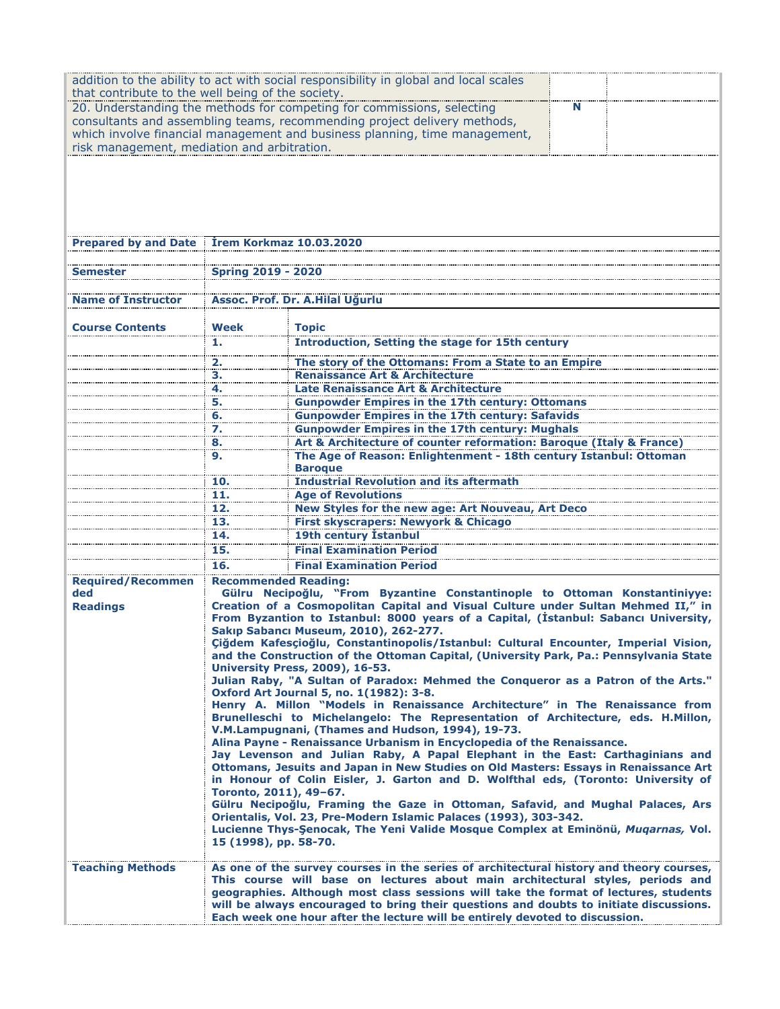| that contribute to the well being of the society. |                                                                                                                                                                                                                                                                                                                                                                                                                                                                                                                                                               | addition to the ability to act with social responsibility in global and local scales                                                                            |   |  |  |
|---------------------------------------------------|---------------------------------------------------------------------------------------------------------------------------------------------------------------------------------------------------------------------------------------------------------------------------------------------------------------------------------------------------------------------------------------------------------------------------------------------------------------------------------------------------------------------------------------------------------------|-----------------------------------------------------------------------------------------------------------------------------------------------------------------|---|--|--|
|                                                   |                                                                                                                                                                                                                                                                                                                                                                                                                                                                                                                                                               | 20. Understanding the methods for competing for commissions, selecting                                                                                          | N |  |  |
|                                                   |                                                                                                                                                                                                                                                                                                                                                                                                                                                                                                                                                               | consultants and assembling teams, recommending project delivery methods,                                                                                        |   |  |  |
| risk management, mediation and arbitration.       |                                                                                                                                                                                                                                                                                                                                                                                                                                                                                                                                                               | which involve financial management and business planning, time management,                                                                                      |   |  |  |
|                                                   |                                                                                                                                                                                                                                                                                                                                                                                                                                                                                                                                                               |                                                                                                                                                                 |   |  |  |
|                                                   |                                                                                                                                                                                                                                                                                                                                                                                                                                                                                                                                                               |                                                                                                                                                                 |   |  |  |
|                                                   |                                                                                                                                                                                                                                                                                                                                                                                                                                                                                                                                                               |                                                                                                                                                                 |   |  |  |
|                                                   |                                                                                                                                                                                                                                                                                                                                                                                                                                                                                                                                                               |                                                                                                                                                                 |   |  |  |
|                                                   |                                                                                                                                                                                                                                                                                                                                                                                                                                                                                                                                                               |                                                                                                                                                                 |   |  |  |
| <b>Prepared by and Date</b>                       |                                                                                                                                                                                                                                                                                                                                                                                                                                                                                                                                                               | <b>Irem Korkmaz 10.03.2020</b>                                                                                                                                  |   |  |  |
| Semester                                          | <b>Spring 2019 - 2020</b>                                                                                                                                                                                                                                                                                                                                                                                                                                                                                                                                     |                                                                                                                                                                 |   |  |  |
|                                                   |                                                                                                                                                                                                                                                                                                                                                                                                                                                                                                                                                               |                                                                                                                                                                 |   |  |  |
| <b>Name of Instructor</b>                         |                                                                                                                                                                                                                                                                                                                                                                                                                                                                                                                                                               | Assoc. Prof. Dr. A.Hilal Uğurlu                                                                                                                                 |   |  |  |
|                                                   |                                                                                                                                                                                                                                                                                                                                                                                                                                                                                                                                                               |                                                                                                                                                                 |   |  |  |
| <b>Course Contents</b>                            | Week<br>1.                                                                                                                                                                                                                                                                                                                                                                                                                                                                                                                                                    | <b>Topic</b><br><b>Introduction, Setting the stage for 15th century</b>                                                                                         |   |  |  |
|                                                   |                                                                                                                                                                                                                                                                                                                                                                                                                                                                                                                                                               | The story of the Ottomans: From a State to an Empire                                                                                                            |   |  |  |
|                                                   | 2.<br>3.                                                                                                                                                                                                                                                                                                                                                                                                                                                                                                                                                      | <b>Renaissance Art &amp; Architecture</b>                                                                                                                       |   |  |  |
|                                                   | 4.                                                                                                                                                                                                                                                                                                                                                                                                                                                                                                                                                            | <b>Late Renaissance Art &amp; Architecture</b>                                                                                                                  |   |  |  |
|                                                   | 5.                                                                                                                                                                                                                                                                                                                                                                                                                                                                                                                                                            | <b>Gunpowder Empires in the 17th century: Ottomans</b>                                                                                                          |   |  |  |
|                                                   | 6.                                                                                                                                                                                                                                                                                                                                                                                                                                                                                                                                                            | <b>Gunpowder Empires in the 17th century: Safavids</b>                                                                                                          |   |  |  |
|                                                   | 7.<br>8.                                                                                                                                                                                                                                                                                                                                                                                                                                                                                                                                                      | <b>Gunpowder Empires in the 17th century: Mughals</b>                                                                                                           |   |  |  |
|                                                   | 9.                                                                                                                                                                                                                                                                                                                                                                                                                                                                                                                                                            | Art & Architecture of counter reformation: Baroque (Italy & France)<br>The Age of Reason: Enlightenment - 18th century Istanbul: Ottoman                        |   |  |  |
|                                                   |                                                                                                                                                                                                                                                                                                                                                                                                                                                                                                                                                               | <b>Baroque</b>                                                                                                                                                  |   |  |  |
|                                                   | 10.                                                                                                                                                                                                                                                                                                                                                                                                                                                                                                                                                           | <b>Industrial Revolution and its aftermath</b>                                                                                                                  |   |  |  |
|                                                   | 11.                                                                                                                                                                                                                                                                                                                                                                                                                                                                                                                                                           | <b>Age of Revolutions</b>                                                                                                                                       |   |  |  |
|                                                   | 12.<br>13.                                                                                                                                                                                                                                                                                                                                                                                                                                                                                                                                                    | New Styles for the new age: Art Nouveau, Art Deco<br>First skyscrapers: Newyork & Chicago                                                                       |   |  |  |
|                                                   | 14.                                                                                                                                                                                                                                                                                                                                                                                                                                                                                                                                                           | 19th century Istanbul                                                                                                                                           |   |  |  |
|                                                   | 15.                                                                                                                                                                                                                                                                                                                                                                                                                                                                                                                                                           | <b>Final Examination Period</b>                                                                                                                                 |   |  |  |
|                                                   | 16.                                                                                                                                                                                                                                                                                                                                                                                                                                                                                                                                                           | <b>Final Examination Period</b>                                                                                                                                 |   |  |  |
| <b>Required/Recommen</b>                          | <b>Recommended Reading:</b>                                                                                                                                                                                                                                                                                                                                                                                                                                                                                                                                   |                                                                                                                                                                 |   |  |  |
| ded                                               |                                                                                                                                                                                                                                                                                                                                                                                                                                                                                                                                                               | Gülru Necipoğlu, "From Byzantine Constantinople to Ottoman Konstantiniyye:<br>Creation of a Cosmopolitan Capital and Visual Culture under Sultan Mehmed II," in |   |  |  |
| <b>Readings</b>                                   |                                                                                                                                                                                                                                                                                                                                                                                                                                                                                                                                                               | From Byzantion to Istanbul: 8000 years of a Capital, (Istanbul: Sabancı University,                                                                             |   |  |  |
|                                                   |                                                                                                                                                                                                                                                                                                                                                                                                                                                                                                                                                               | Sakıp Sabancı Museum, 2010), 262-277.                                                                                                                           |   |  |  |
|                                                   |                                                                                                                                                                                                                                                                                                                                                                                                                                                                                                                                                               | Çiğdem Kafesçioğlu, Constantinopolis/Istanbul: Cultural Encounter, Imperial Vision,                                                                             |   |  |  |
|                                                   |                                                                                                                                                                                                                                                                                                                                                                                                                                                                                                                                                               | and the Construction of the Ottoman Capital, (University Park, Pa.: Pennsylvania State<br><b>University Press, 2009), 16-53.</b>                                |   |  |  |
|                                                   |                                                                                                                                                                                                                                                                                                                                                                                                                                                                                                                                                               | Julian Raby, "A Sultan of Paradox: Mehmed the Conqueror as a Patron of the Arts."                                                                               |   |  |  |
|                                                   |                                                                                                                                                                                                                                                                                                                                                                                                                                                                                                                                                               | Oxford Art Journal 5, no. 1(1982): 3-8.                                                                                                                         |   |  |  |
|                                                   | Henry A. Millon "Models in Renaissance Architecture" in The Renaissance from<br>Brunelleschi to Michelangelo: The Representation of Architecture, eds. H.Millon,<br>V.M.Lampugnani, (Thames and Hudson, 1994), 19-73.<br>Alina Payne - Renaissance Urbanism in Encyclopedia of the Renaissance.<br>Jay Levenson and Julian Raby, A Papal Elephant in the East: Carthaginians and<br>Ottomans, Jesuits and Japan in New Studies on Old Masters: Essays in Renaissance Art<br>in Honour of Colin Eisler, J. Garton and D. Wolfthal eds, (Toronto: University of |                                                                                                                                                                 |   |  |  |
|                                                   |                                                                                                                                                                                                                                                                                                                                                                                                                                                                                                                                                               |                                                                                                                                                                 |   |  |  |
|                                                   |                                                                                                                                                                                                                                                                                                                                                                                                                                                                                                                                                               |                                                                                                                                                                 |   |  |  |
|                                                   |                                                                                                                                                                                                                                                                                                                                                                                                                                                                                                                                                               |                                                                                                                                                                 |   |  |  |
|                                                   |                                                                                                                                                                                                                                                                                                                                                                                                                                                                                                                                                               |                                                                                                                                                                 |   |  |  |
|                                                   | Toronto, 2011), 49-67.                                                                                                                                                                                                                                                                                                                                                                                                                                                                                                                                        |                                                                                                                                                                 |   |  |  |
|                                                   | Gülru Necipoğlu, Framing the Gaze in Ottoman, Safavid, and Mughal Palaces, Ars<br>Orientalis, Vol. 23, Pre-Modern Islamic Palaces (1993), 303-342.                                                                                                                                                                                                                                                                                                                                                                                                            |                                                                                                                                                                 |   |  |  |
|                                                   | Lucienne Thys-Senocak, The Yeni Valide Mosque Complex at Eminönü, Mugarnas, Vol.                                                                                                                                                                                                                                                                                                                                                                                                                                                                              |                                                                                                                                                                 |   |  |  |
|                                                   | 15 (1998), pp. 58-70.                                                                                                                                                                                                                                                                                                                                                                                                                                                                                                                                         |                                                                                                                                                                 |   |  |  |
| <b>Teaching Methods</b>                           |                                                                                                                                                                                                                                                                                                                                                                                                                                                                                                                                                               | As one of the survey courses in the series of architectural history and theory courses,                                                                         |   |  |  |
|                                                   | This course will base on lectures about main architectural styles, periods and                                                                                                                                                                                                                                                                                                                                                                                                                                                                                |                                                                                                                                                                 |   |  |  |
|                                                   | geographies. Although most class sessions will take the format of lectures, students<br>will be always encouraged to bring their questions and doubts to initiate discussions.                                                                                                                                                                                                                                                                                                                                                                                |                                                                                                                                                                 |   |  |  |
|                                                   | Each week one hour after the lecture will be entirely devoted to discussion.                                                                                                                                                                                                                                                                                                                                                                                                                                                                                  |                                                                                                                                                                 |   |  |  |